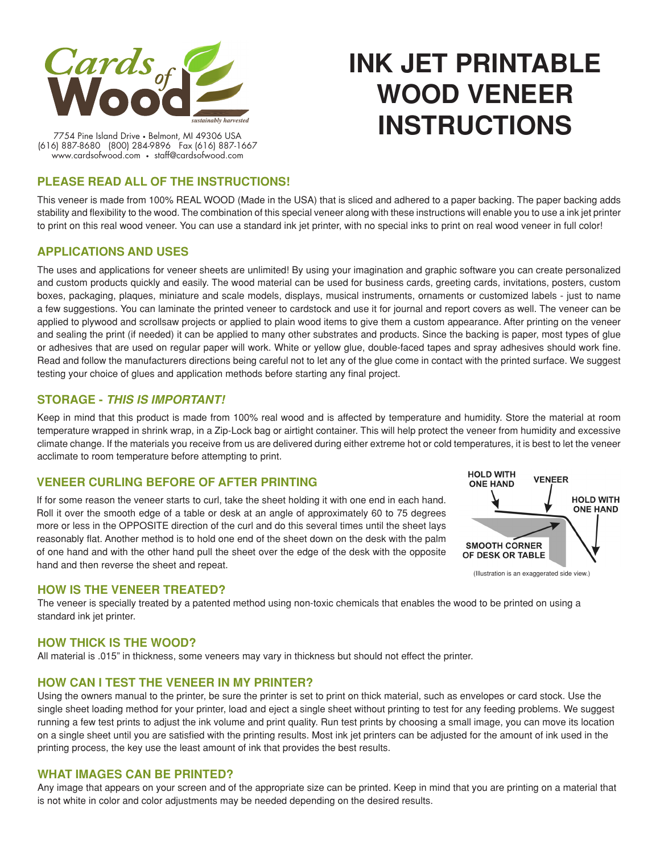

# **INK JET PRINTABLE WOOD VENEER INSTRUCTIONS**

7754 Pine Island Drive • Belmont, MI 49306 USA (616) 887-8680 (800) 284-9896 Fax (616) 887-1667 www.cardsofwood.com • staff@cardsofwood.com

# **PLEASE READ ALL OF THE INSTRUCTIONS!**

This veneer is made from 100% REAL WOOD (Made in the USA) that is sliced and adhered to a paper backing. The paper backing adds stability and flexibility to the wood. The combination of this special veneer along with these instructions will enable you to use a ink jet printer to print on this real wood veneer. You can use a standard ink jet printer, with no special inks to print on real wood veneer in full color!

# **APPLICATIONS AND USES**

The uses and applications for veneer sheets are unlimited! By using your imagination and graphic software you can create personalized and custom products quickly and easily. The wood material can be used for business cards, greeting cards, invitations, posters, custom boxes, packaging, plaques, miniature and scale models, displays, musical instruments, ornaments or customized labels - just to name a few suggestions. You can laminate the printed veneer to cardstock and use it for journal and report covers as well. The veneer can be applied to plywood and scrollsaw projects or applied to plain wood items to give them a custom appearance. After printing on the veneer and sealing the print (if needed) it can be applied to many other substrates and products. Since the backing is paper, most types of glue or adhesives that are used on regular paper will work. White or yellow glue, double-faced tapes and spray adhesives should work fine. Read and follow the manufacturers directions being careful not to let any of the glue come in contact with the printed surface. We suggest testing your choice of glues and application methods before starting any final project.

# **STORAGE -** *THIS IS IMPORTANT!*

Keep in mind that this product is made from 100% real wood and is affected by temperature and humidity. Store the material at room temperature wrapped in shrink wrap, in a Zip-Lock bag or airtight container. This will help protect the veneer from humidity and excessive climate change. If the materials you receive from us are delivered during either extreme hot or cold temperatures, it is best to let the veneer acclimate to room temperature before attempting to print.

#### **VENEER CURLING BEFORE OF AFTER PRINTING**

If for some reason the veneer starts to curl, take the sheet holding it with one end in each hand. Roll it over the smooth edge of a table or desk at an angle of approximately 60 to 75 degrees more or less in the OPPOSITE direction of the curl and do this several times until the sheet lays reasonably flat. Another method is to hold one end of the sheet down on the desk with the palm of one hand and with the other hand pull the sheet over the edge of the desk with the opposite hand and then reverse the sheet and repeat.



#### **How is the veneer treated?**

The veneer is specially treated by a patented method using non-toxic chemicals that enables the wood to be printed on using a standard ink jet printer.

#### **How thick is the wood?**

All material is .015" in thickness, some veneers may vary in thickness but should not effect the printer.

#### **How can I test the veneer in my printer?**

Using the owners manual to the printer, be sure the printer is set to print on thick material, such as envelopes or card stock. Use the single sheet loading method for your printer, load and eject a single sheet without printing to test for any feeding problems. We suggest running a few test prints to adjust the ink volume and print quality. Run test prints by choosing a small image, you can move its location on a single sheet until you are satisfied with the printing results. Most ink jet printers can be adjusted for the amount of ink used in the printing process, the key use the least amount of ink that provides the best results.

#### **What images can be printed?**

Any image that appears on your screen and of the appropriate size can be printed. Keep in mind that you are printing on a material that is not white in color and color adjustments may be needed depending on the desired results.